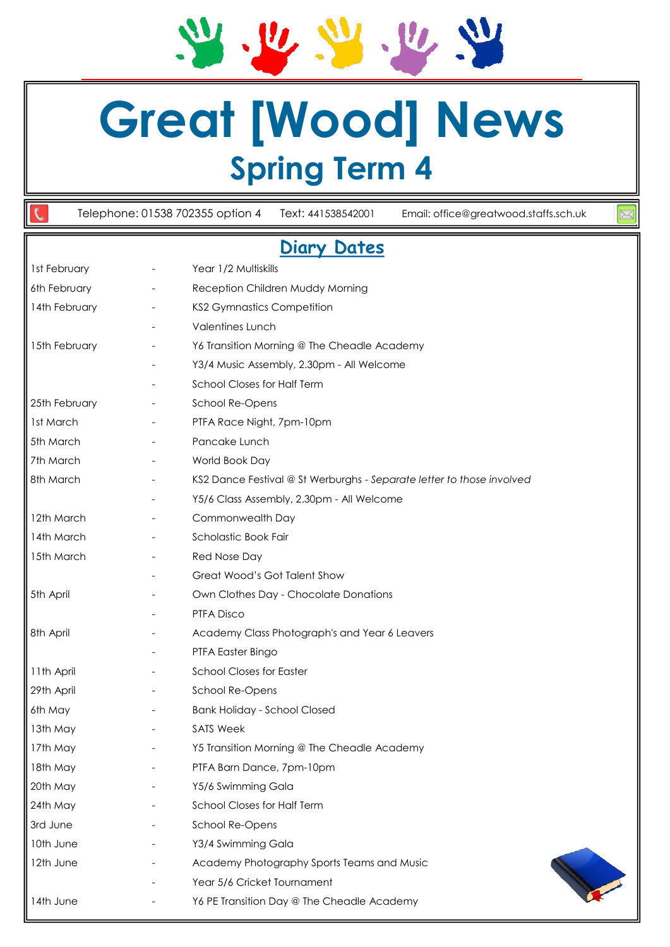# **Great [Wood] News Spring Term 4**

 $v_{\rm s}$  ,  $v_{\rm s}$  ,  $v_{\rm s}$ 

Telephone: 01538 702355 option 4 Text: 441538542001 Email: office@greatwood.staffs.sch.uk

 $\frac{1}{2}$ 

### **Diary Dates**

| 1st February         |                          | Year 1/2 Multiskills                                                  |
|----------------------|--------------------------|-----------------------------------------------------------------------|
| 6th February         | $\overline{\phantom{a}}$ | Reception Children Muddy Morning                                      |
| 14th February        |                          | <b>KS2 Gymnastics Competition</b>                                     |
|                      |                          | <b>Valentines Lunch</b>                                               |
| 15th February        |                          | Y6 Transition Morning @ The Cheadle Academy                           |
|                      |                          | Y3/4 Music Assembly, 2.30pm - All Welcome                             |
|                      |                          | School Closes for Half Term                                           |
| 25th February        |                          | School Re-Opens                                                       |
| 1st March            |                          | PTFA Race Night, 7pm-10pm                                             |
| 5th March            |                          | Pancake Lunch                                                         |
| 7th March            |                          | World Book Day                                                        |
| 8th March            |                          | KS2 Dance Festival @ St Werburghs - Separate letter to those involved |
|                      |                          | Y5/6 Class Assembly, 2.30pm - All Welcome                             |
| 12th March           |                          | Commonwealth Day                                                      |
| 14th March           |                          | Scholastic Book Fair                                                  |
| 15th March           |                          | Red Nose Day                                                          |
|                      |                          | Great Wood's Got Talent Show                                          |
| 5th April            |                          | Own Clothes Day - Chocolate Donations                                 |
|                      |                          | PTFA Disco                                                            |
| 8th April            |                          | Academy Class Photograph's and Year 6 Leavers                         |
|                      |                          | PTFA Easter Bingo                                                     |
| 11th April           |                          | <b>School Closes for Easter</b>                                       |
| 29th April           |                          | School Re-Opens                                                       |
| 6th May              |                          | <b>Bank Holiday - School Closed</b>                                   |
| 13th May             |                          | <b>SATS Week</b>                                                      |
| $\parallel$ 17th May |                          | Y5 Transition Morning @ The Cheadle Academy                           |
| 18th May             |                          | PTFA Barn Dance, 7pm-10pm                                             |
| 20th May             |                          | Y5/6 Swimming Gala                                                    |
| 24th May             |                          | School Closes for Half Term                                           |
| 3rd June             |                          | School Re-Opens                                                       |
| 10th June            |                          | Y3/4 Swimming Gala                                                    |
| 12th June            |                          | Academy Photography Sports Teams and Music                            |
|                      |                          | Year 5/6 Cricket Tournament                                           |
| 14th June            |                          | Y6 PE Transition Day @ The Cheadle Academy                            |